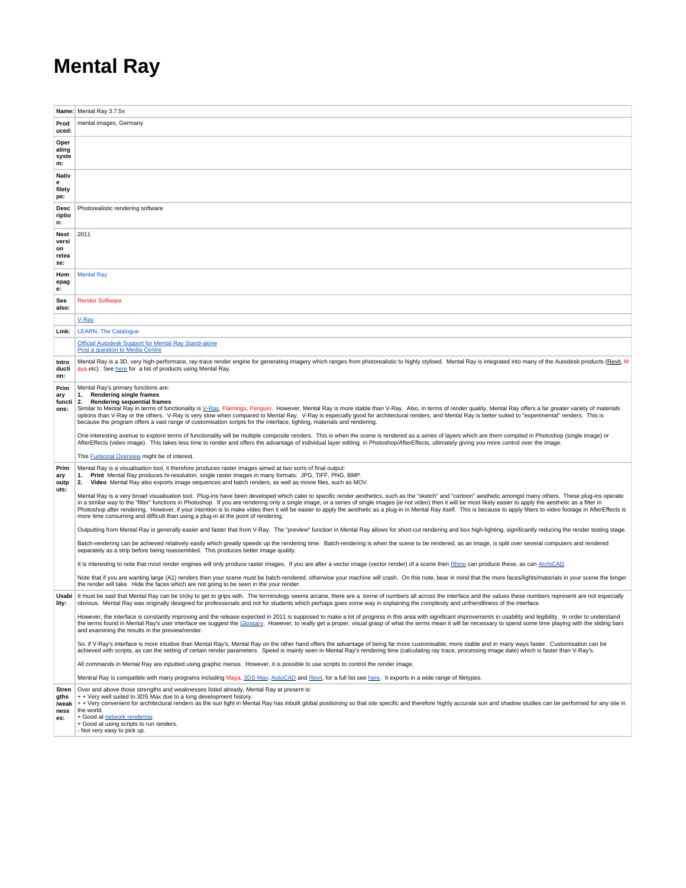## **Mental Ray**

|                       | Name: Mental Ray 3.7.5x                                                                                                                                                                                                                                                                                                                                                                                                                                                                        |
|-----------------------|------------------------------------------------------------------------------------------------------------------------------------------------------------------------------------------------------------------------------------------------------------------------------------------------------------------------------------------------------------------------------------------------------------------------------------------------------------------------------------------------|
| Prod                  | mental images, Germany                                                                                                                                                                                                                                                                                                                                                                                                                                                                         |
| uced:                 |                                                                                                                                                                                                                                                                                                                                                                                                                                                                                                |
| Oper<br>ating         |                                                                                                                                                                                                                                                                                                                                                                                                                                                                                                |
| syste<br>m:           |                                                                                                                                                                                                                                                                                                                                                                                                                                                                                                |
| Nativ                 |                                                                                                                                                                                                                                                                                                                                                                                                                                                                                                |
| filety                |                                                                                                                                                                                                                                                                                                                                                                                                                                                                                                |
| pe:                   |                                                                                                                                                                                                                                                                                                                                                                                                                                                                                                |
| Desc<br>riptio<br>n:  | Photorealistic rendering software                                                                                                                                                                                                                                                                                                                                                                                                                                                              |
| Next                  | 2011                                                                                                                                                                                                                                                                                                                                                                                                                                                                                           |
| versi<br>on           |                                                                                                                                                                                                                                                                                                                                                                                                                                                                                                |
| relea<br>se:          |                                                                                                                                                                                                                                                                                                                                                                                                                                                                                                |
| Hom                   | <b>Mental Ray</b>                                                                                                                                                                                                                                                                                                                                                                                                                                                                              |
| epag<br>e:            |                                                                                                                                                                                                                                                                                                                                                                                                                                                                                                |
| See                   | <b>Render Software</b>                                                                                                                                                                                                                                                                                                                                                                                                                                                                         |
| also:                 |                                                                                                                                                                                                                                                                                                                                                                                                                                                                                                |
| Link:                 | V-Ray<br><b>LEARN, The Catalogue</b>                                                                                                                                                                                                                                                                                                                                                                                                                                                           |
|                       | Official Autodesk Support for Mental Ray Stand-alone                                                                                                                                                                                                                                                                                                                                                                                                                                           |
|                       | Post a question to Media Centre                                                                                                                                                                                                                                                                                                                                                                                                                                                                |
| Intro<br>ducti<br>on: | Mental Ray is a 3D, very high-performace, ray-trace render engine for generating imagery which ranges from photorealistic to highly stylised. Mental Ray is integrated into many of the Autodesk products (Revit, M<br>aya etc). See here for a list of products using Mental Ray.                                                                                                                                                                                                             |
| Prim<br>ary           | Mental Ray's primary functions are:<br>1. Rendering single frames                                                                                                                                                                                                                                                                                                                                                                                                                              |
| functi<br>ons:        | 2.<br><b>Rendering sequential frames</b><br>Similar to Mental Ray in terms of functionality is V-Ray, Flamingo, Penguin. However, Mental Ray is more stable than V-Ray. Also, in terms of render quality, Mental Ray offers a far greater variety of materials                                                                                                                                                                                                                                 |
|                       | options than V-Ray or the others. V-Ray is very slow when compared to Mental Ray. V-Ray is especially good for architectural renders, and Mental Ray is better suited to "experimental" renders. This is<br>because the program offers a vast range of customisation scripts for the interface, lighting, materials and rendering.                                                                                                                                                             |
|                       | One interesting avenue to explore terms of functionality will be multiple composite renders. This is when the scene is rendered as a series of layers which are them compiled in Photoshop (single image) or                                                                                                                                                                                                                                                                                   |
|                       | AfterEffects (video image). This takes less time to render and offers the advantage of individual layer editing in Photoshop/AfterEffects, ultimately giving you more control over the image.                                                                                                                                                                                                                                                                                                  |
|                       | This <b>Euntional Overview</b> might be of interest.                                                                                                                                                                                                                                                                                                                                                                                                                                           |
| Prim<br>ary<br>outp   | Mental Ray is a visualisation tool, it therefore produces raster images aimed at two sorts of final output:<br>Print Mental Ray produces hi-resolution, single raster images in many formats: JPG, TIFF, PNG, BMP.<br>1.<br>Video Mental Ray also exports image sequences and batch renders, as well as movie files, such as MOV.<br>2.                                                                                                                                                        |
| uts:                  | Mental Ray is a very broad visualisation tool. Plug-ins have been developed which cater to specific render aesthetics, such as the "sketch" and "cartoon" aesthetic amongst many others. These plug-ins operate                                                                                                                                                                                                                                                                                |
|                       | in a similar way to the "filter" functions in Photoshop. If you are rendering only a single image, or a series of single images (ie not video) then it will be most likely easier to apply the aesthetic as a filter in<br>Photoshop after rendering. However, if your intention is to make video then it will be easier to apply the aesthetic as a plug-in in Mental Ray itself. This is because to apply filters to video footage in AfterEffects is                                        |
|                       | more time consuming and difficult than using a plug-in at the point of rendering.                                                                                                                                                                                                                                                                                                                                                                                                              |
|                       | Outputting from Mental Ray is generally easier and faster that from V-Ray. The "preview" function in Mental Ray allows for short-cut rendering and box high-lighting, significantly reducing the render testing stage.                                                                                                                                                                                                                                                                         |
|                       | Batch-rendering can be achieved relatively easily which greatly speeds up the rendering time. Batch-rendering is when the scene to be rendered, as an image, is split over several computers and rendered<br>separately as a strip before being reassembled. This produces better image quality.                                                                                                                                                                                               |
|                       | It is interesting to note that most render engines will only produce raster images. If you are after a vector image (vector render) of a scene then Rhino can produce these, as can ArchiCAD.                                                                                                                                                                                                                                                                                                  |
|                       | Note that if you are wanting large (A1) renders then your scene must be batch-rendered, otherwise your machine will crash. On this note, bear in mind that the more faces/lights/materials in your scene the longer<br>the render will take. Hide the faces which are not going to be seen in the your render.                                                                                                                                                                                 |
| Usabi<br>lity:        | It must be said that Mental Ray can be tricky to get to grips with. The terminology seems arcane, there are a tonne of numbers all across the interface and the values these numbers represent are not especially<br>obvious. Mental Ray was originally designed for professionals and not for students which perhaps goes some way in explaining the complexity and unfriendliness of the interface.                                                                                          |
|                       | However, the interface is constantly improving and the release expected in 2011 is supposed to make a lot of progress in this area with significant improvements in usability and legibility. In order to understand<br>the terms found in Mental Ray's user interface we suggest the Glossary. However, to really get a proper, visual grasp of what the terms mean it will be necessary to spend some time playing with the sliding bars<br>and examining the results in the preview/render. |
|                       | So, if V-Ray's interface is more intuitive than Mental Ray's, Mental Ray on the other hand offers the advantage of being far more customisable, more stable and in many ways faster. Customisation can be<br>achieved with scripts, as can the setting of certain render parameters. Speed is mainly seen in Mental Ray's rendering time (calculating ray trace, processing image date) which is faster than V-Ray's.                                                                          |
|                       | All commands in Mental Ray are inputted using graphic menus. However, it is possible to use scripts to control the render image.                                                                                                                                                                                                                                                                                                                                                               |
|                       | Mentral Ray is compatible with many programs including Maya, 3DS Max, AutoCAD and Revit, for a full list see here. It exports in a wide range of filetypes.                                                                                                                                                                                                                                                                                                                                    |
| Stren                 | Over and above those strengths and weaknesses listed already, Mental Ray at present is:<br>+ + Very well suited to 3DS Max due to a long development history.                                                                                                                                                                                                                                                                                                                                  |
| gths<br>/weak         | + + Very convenient for architectural renders as the sun light in Mental Ray has inbuilt global positioning so that site specific and therefore highly accurate sun and shadow studies can be performed for any site in                                                                                                                                                                                                                                                                        |
| ness<br>es:           | the world.<br>+ Good at network rendering.                                                                                                                                                                                                                                                                                                                                                                                                                                                     |
|                       | + Good at using scripts to run renders.<br>- Not very easy to pick up.                                                                                                                                                                                                                                                                                                                                                                                                                         |
|                       |                                                                                                                                                                                                                                                                                                                                                                                                                                                                                                |